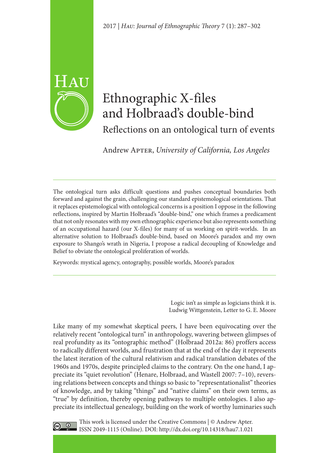

# Ethnographic X-files and Holbraad's double-bind

Reflections on an ontological turn of events

Andrew Apter, *University of California, Los Angeles*

The ontological turn asks difficult questions and pushes conceptual boundaries both forward and against the grain, challenging our standard epistemological orientations. That it replaces epistemological with ontological concerns is a position I oppose in the following reflections, inspired by Martin Holbraad's "double-bind," one which frames a predicament that not only resonates with my own ethnographic experience but also represents something of an occupational hazard (our X-files) for many of us working on spirit-worlds. In an alternative solution to Holbraad's double-bind, based on Moore's paradox and my own exposure to Shango's wrath in Nigeria, I propose a radical decoupling of Knowledge and Belief to obviate the ontological proliferation of worlds.

Keywords: mystical agency, ontography, possible worlds, Moore's paradox

Logic isn't as simple as logicians think it is. Ludwig Wittgenstein, Letter to G. E. Moore

Like many of my somewhat skeptical peers, I have been equivocating over the relatively recent "ontological turn" in anthropology, wavering between glimpses of real profundity as its "ontographic method" (Holbraad 2012a: 86) proffers access to radically different worlds, and frustration that at the end of the day it represents the latest iteration of the cultural relativism and radical translation debates of the 1960s and 1970s, despite principled claims to the contrary. On the one hand, I appreciate its "quiet revolution" (Henare, Holbraad, and Wastell 2007: 7–10), reversing relations between concepts and things so basic to "representationalist" theories of knowledge, and by taking "things" and "native claims" on their own terms, as "true" by definition, thereby opening pathways to multiple ontologies. I also appreciate its intellectual genealogy, building on the work of worthy luminaries such



This work is licensed under the Creative Commons | © Andrew Apter. ISSN 2049-1115 (Online). DOI: [http://dx.doi.org/1](http://dx.doi.org/10.14318/hau7.1.021)0.14318/hau7.1.021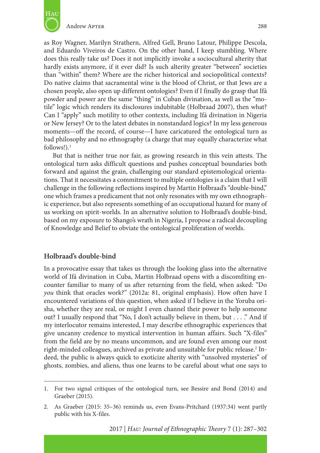

as Roy Wagner, Marilyn Strathern, Alfred Gell, Bruno Latour, Philippe Descola, and Eduardo Viveiros de Castro. On the other hand, I keep stumbling. Where does this really take us? Does it not implicitly invoke a sociocultural alterity that hardly exists anymore, if it ever did? Is such alterity greater "between" societies than "within" them? Where are the richer historical and sociopolitical contexts? Do native claims that sacramental wine is the blood of Christ, or that Jews are a chosen people, also open up different ontologies? Even if I finally do grasp that Ifá powder and power are the same "thing" in Cuban divination, as well as the "motile" logic which renders its disclosures indubitable (Holbraad 2007), then what? Can I "apply" such motility to other contexts, including Ifá divination in Nigeria or New Jersey? Or to the latest debates in nonstandard logics? In my less generous moments—off the record, of course—I have caricatured the ontological turn as bad philosophy and no ethnography (a charge that may equally characterize what follows! $).<sup>1</sup>$ 

But that is neither true nor fair, as growing research in this vein attests. The ontological turn asks difficult questions and pushes conceptual boundaries both forward and against the grain, challenging our standard epistemological orientations. That it necessitates a commitment to multiple ontologies is a claim that I will challenge in the following reflections inspired by Martin Holbraad's "double-bind," one which frames a predicament that not only resonates with my own ethnographic experience, but also represents something of an occupational hazard for many of us working on spirit-worlds. In an alternative solution to Holbraad's double-bind, based on my exposure to Shango's wrath in Nigeria, I propose a radical decoupling of Knowledge and Belief to obviate the ontological proliferation of worlds.

## **Holbraad's double-bind**

In a provocative essay that takes us through the looking glass into the alternative world of Ifá divination in Cuba, Martin Holbraad opens with a discomfiting encounter familiar to many of us after returning from the field, when asked: "Do *you* think that oracles work?" (2012a: 81, original emphasis). How often have I encountered variations of this question, when asked if I believe in the Yoruba orisha, whether they are real, or might I even channel their power to help someone out? I usually respond that "No, I don't actually believe in them, but . . . ." And if my interlocutor remains interested, I may describe ethnographic experiences that give uncanny credence to mystical intervention in human affairs. Such "X-files" from the field are by no means uncommon, and are found even among our most right-minded colleagues, archived as private and unsuitable for public release.<sup>2</sup> Indeed, the public is always quick to exoticize alterity with "unsolved mysteries" of ghosts, zombies, and aliens, thus one learns to be careful about what one says to

<sup>1.</sup> For two signal critiques of the ontological turn, see Bessire and Bond (2014) and Graeber (2015).

<sup>2.</sup> As Graeber (2015: 35–36) reminds us, even Evans-Pritchard (1937:34) went partly public with his X-files.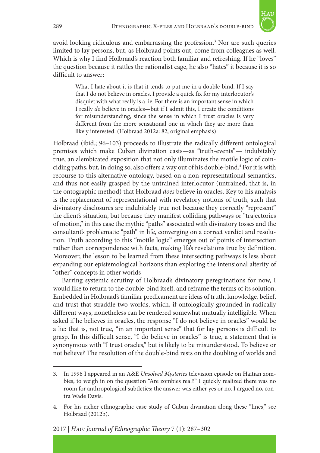

avoid looking ridiculous and embarrassing the profession.<sup>3</sup> Nor are such queries limited to lay persons, but, as Holbraad points out, come from colleagues as well. Which is why I find Holbraad's reaction both familiar and refreshing. If he "loves" the question because it rattles the rationalist cage, he also "hates" it because it is so difficult to answer:

What I hate about it is that it tends to put me in a double-bind. If I say that I do not believe in oracles, I provide a quick fix for my interlocutor's disquiet with what really is a lie. For there is an important sense in which I really *do* believe in oracles—but if I admit this, I create the conditions for misunderstanding, since the sense in which I trust oracles is very different from the more sensational one in which they are more than likely interested. (Holbraad 2012a: 82, original emphasis)

Holbraad (ibid.; 96–103) proceeds to illustrate the radically different ontological premises which make Cuban divination casts—as "truth-events"— indubitably true, an alembicated exposition that not only illuminates the motile logic of coinciding paths, but, in doing so, also offers a way out of his double-bind.<sup>4</sup> For it is with recourse to this alternative ontology, based on a non-representational semantics, and thus not easily grasped by the untrained interlocutor (untrained, that is, in the ontographic method) that Holbraad *does* believe in oracles. Key to his analysis is the replacement of representational with revelatory notions of truth, such that divinatory disclosures are indubitably true not because they correctly "represent" the client's situation, but because they manifest colliding pathways or "trajectories of motion," in this case the mythic "paths" associated with divinatory tosses and the consultant's problematic "path" in life, converging on a correct verdict and resolution. Truth according to this "motile logic" emerges out of points of intersection rather than correspondence with facts, making Ifa's revelations true by definition. Moreover, the lesson to be learned from these intersecting pathways is less about expanding our epistemological horizons than exploring the intensional alterity of "other" concepts in other worlds

Barring systemic scrutiny of Holbraad's divinatory peregrinations for now, I would like to return to the double-bind itself, and reframe the terms of its solution. Embedded in Holbraad's familiar predicament are ideas of truth, knowledge, belief, and trust that straddle two worlds, which, if ontologically grounded in radically different ways, nonetheless can be rendered somewhat mutually intelligible. When asked if he believes in oracles, the response "I do not believe in oracles" would be a lie: that is, not true, "in an important sense" that for lay persons is difficult to grasp. In this difficult sense, "I do believe in oracles" is true, a statement that is synonymous with "I trust oracles," but is likely to be misunderstood. To believe or not believe? The resolution of the double-bind rests on the doubling of worlds and

<sup>3.</sup> In 1996 I appeared in an A&E *Unsolved Mysteries* television episode on Haitian zombies, to weigh in on the question "Are zombies real?" I quickly realized there was no room for anthropological subtleties; the answer was either yes or no. I argued no, contra Wade Davis.

<sup>4.</sup> For his richer ethnographic case study of Cuban divination along these "lines," see Holbraad (2012b).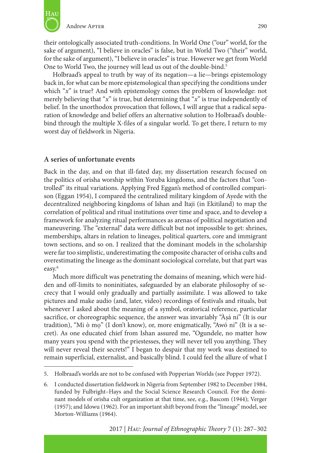

their ontologically associated truth-conditions. In World One ("our" world, for the sake of argument), "I believe in oracles" is false, but in World Two ("their" world, for the sake of argument), "I believe in oracles" is true. However we get from World One to World Two, the journey will lead us out of the double-bind.5

Holbraad's appeal to truth by way of its negation—a lie—brings epistemology back in, for what can be more epistemological than specifying the conditions under which "*x*" is true? And with epistemology comes the problem of knowledge: not merely believing that "*x*" is true, but determining that "*x*" is true independently of belief. In the unorthodox provocation that follows, I will argue that a radical separation of knowledge and belief offers an alternative solution to Holbraad's doublebind through the multiple X-files of a singular world. To get there, I return to my worst day of fieldwork in Nigeria.

#### **A series of unfortunate events**

Back in the day, and on that ill-fated day, my dissertation research focused on the politics of orisha worship within Yoruba kingdoms, and the factors that "controlled" its ritual variations. Applying Fred Eggan's method of controlled comparison (Eggan 1954), I compared the centralized military kingdom of Ayede with the decentralized neighboring kingdoms of Ishan and Itaji (in Ekitiland) to map the correlation of political and ritual institutions over time and space, and to develop a framework for analyzing ritual performances as arenas of political negotiation and maneuvering. The "external" data were difficult but not impossible to get: shrines, memberships, altars in relation to lineages, political quarters, core and immigrant town sections, and so on. I realized that the dominant models in the scholarship were far too simplistic, underestimating the composite character of orisha cults and overestimating the lineage as the dominant sociological correlate, but that part was easy.6

Much more difficult was penetrating the domains of meaning, which were hidden and off-limits to noninitiates, safeguarded by an elaborate philosophy of secrecy that I would only gradually and partially assimilate. I was allowed to take pictures and make audio (and, later, video) recordings of festivals and rituals, but whenever I asked about the meaning of a symbol, oratorical reference, particular sacrifice, or choreographic sequence, the answer was invariably "Àsá ni" (It is our tradition), "Mi ò mo" (I don't know), or, more enigmatically, "Awó ni" (It is a secret). As one educated chief from Ishan assured me, "Ogundele, no matter how many years you spend with the priestesses, they will never tell you anything. They will never reveal their secrets!" I began to despair that my work was destined to remain superficial, externalist, and basically blind. I could feel the allure of what I

<sup>5.</sup> Holbraad's worlds are not to be confused with Popperian Worlds (see Popper 1972).

<sup>6.</sup> I conducted dissertation fieldwork in Nigeria from September 1982 to December 1984, funded by Fulbright–Hays and the Social Science Research Council. For the dominant models of orisha cult organization at that time, see, e.g., Bascom (1944); Verger (1957); and Idowu (1962). For an important shift beyond from the "lineage" model, see Morton-Williams (1964).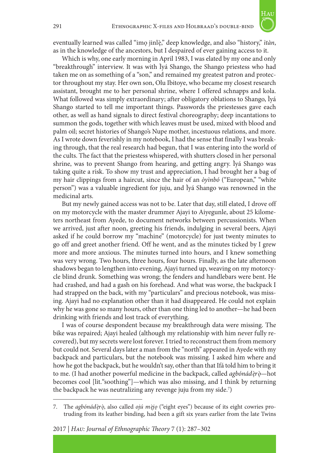HAU

eventually learned was called "imo jinlè," deep knowledge, and also "history," *ìtàn*, as in the knowledge of the ancestors, but I despaired of ever gaining access to it.

Which is why, one early morning in April 1983, I was elated by my one and only "breakthrough" interview. It was with Ìyá Shango, the Shango priestess who had taken me on as something of a "son," and remained my greatest patron and protector throughout my stay. Her own son, Olu Ibitoye, who became my closest research assistant, brought me to her personal shrine, where I offered schnapps and kola. What followed was simply extraordinary; after obligatory oblations to Shango, Ìyá Shango started to tell me important things. Passwords the priestesses gave each other, as well as hand signals to direct festival choreography; deep incantations to summon the gods, together with which leaves must be used, mixed with blood and palm oil; secret histories of Shango's Nupe mother, incestuous relations, and more. As I wrote down feverishly in my notebook, I had the sense that finally I was breaking through, that the real research had begun, that I was entering into the world of the cults. The fact that the priestess whispered, with shutters closed in her personal shrine, was to prevent Shango from hearing, and getting angry. Ìyá Shango was taking quite a risk. To show my trust and appreciation, I had brought her a bag of my hair clippings from a haircut, since the hair of an *òyìnbó* ("European," "white person") was a valuable ingredient for juju, and Ìyá Shango was renowned in the medicinal arts.

But my newly gained access was not to be. Later that day, still elated, I drove off on my motorcycle with the master drummer Ajayi to Aiyegunle, about 25 kilometers northeast from Ayede, to document networks between percussionists. When we arrived, just after noon, greeting his friends, indulging in several beers, Ajayi asked if he could borrow my "machine" (motorcycle) for just twenty minutes to go off and greet another friend. Off he went, and as the minutes ticked by I grew more and more anxious. The minutes turned into hours, and I knew something was very wrong. Two hours, three hours, four hours. Finally, as the late afternoon shadows began to lengthen into evening, Ajayi turned up, weaving on my motorcycle blind drunk. Something was wrong; the fenders and handlebars were bent. He had crashed, and had a gash on his forehead. And what was worse, the backpack I had strapped on the back, with my "particulars" and precious notebook, was missing. Ajayi had no explanation other than it had disappeared. He could not explain why he was gone so many hours, other than one thing led to another—he had been drinking with friends and lost track of everything.

I was of course despondent because my breakthrough data were missing. The bike was repaired; Ajayi healed (although my relationship with him never fully recovered), but my secrets were lost forever. I tried to reconstruct them from memory but could not. Several days later a man from the "north" appeared in Ayede with my backpack and particulars, but the notebook was missing. I asked him where and how he got the backpack, but he wouldn't say, other than that Ifá told him to bring it to me. (I had another powerful medicine in the backpack, called *agbónád`er`o—*hot becomes cool [lit."soothing"]—which was also missing, and I think by returning the backpack he was neutralizing any revenge juju from my side.<sup>7</sup>)

<sup>7.</sup> The *agbónád`er`o*, also called *ojú m`ejo* ("eight eyes") because of its eight cowries protruding from its leather binding, had been a gift six years earlier from the late Twins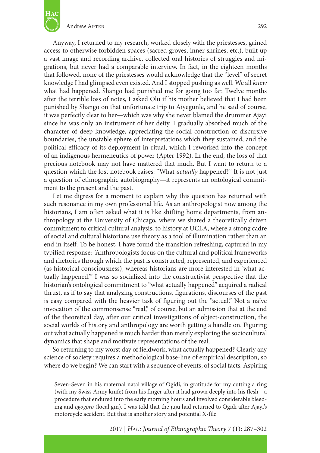

Anyway, I returned to my research, worked closely with the priestesses, gained access to otherwise forbidden spaces (sacred groves, inner shrines, etc.), built up a vast image and recording archive, collected oral histories of struggles and migrations, but never had a comparable interview. In fact, in the eighteen months that followed, none of the priestesses would acknowledge that the "level" of secret knowledge I had glimpsed even existed. And I stopped pushing as well. We all *knew* what had happened. Shango had punished me for going too far. Twelve months after the terrible loss of notes, I asked Olu if his mother believed that I had been punished by Shango on that unfortunate trip to Aiyegunle, and he said of course, it was perfectly clear to her—which was why she never blamed the drummer Ajayi since he was only an instrument of her deity. I gradually absorbed much of the character of deep knowledge, appreciating the social construction of discursive boundaries, the unstable sphere of interpretations which they sustained, and the political efficacy of its deployment in ritual, which I reworked into the concept of an indigenous hermeneutics of power (Apter 1992). In the end, the loss of that precious notebook may not have mattered that much. But I want to return to a question which the lost notebook raises: "What *actually* happened?" It is not just a question of ethnographic autobiography—it represents an ontological commitment to the present and the past.

Let me digress for a moment to explain why this question has returned with such resonance in my own professional life. As an anthropologist now among the historians, I am often asked what it is like shifting home departments, from anthropology at the University of Chicago, where we shared a theoretically driven commitment to critical cultural analysis, to history at UCLA, where a strong cadre of social and cultural historians use theory as a tool of illumination rather than an end in itself. To be honest, I have found the transition refreshing, captured in my typified response: "Anthropologists focus on the cultural and political frameworks and rhetorics through which the past is constructed, represented, and experienced (as historical consciousness), whereas historians are more interested in 'what actually happened.'" I was so socialized into the constructivist perspective that the historian's ontological commitment to "what actually happened" acquired a radical thrust, as if to say that analyzing constructions, figurations, discourses of the past is easy compared with the heavier task of figuring out the "actual." Not a naïve invocation of the commonsense "real," of course, but an admission that at the end of the theoretical day, after our critical investigations of object-construction, the social worlds of history and anthropology are worth getting a handle on. Figuring out what actually happened is much harder than merely exploring the sociocultural dynamics that shape and motivate representations of the real.

So returning to my worst day of fieldwork, what actually happened? Clearly any science of society requires a methodological base-line of empirical description, so where do we begin? We can start with a sequence of events, of social facts. Aspiring

Seven-Seven in his maternal natal village of Ogidi, in gratitude for my cutting a ring (with my Swiss Army knife) from his finger after it had grown deeply into his flesh—a procedure that endured into the early morning hours and involved considerable bleeding and *ogogoro* (local gin). I was told that the juju had returned to Ogidi after Ajayi's motorcycle accident. But that is another story and potential X-file.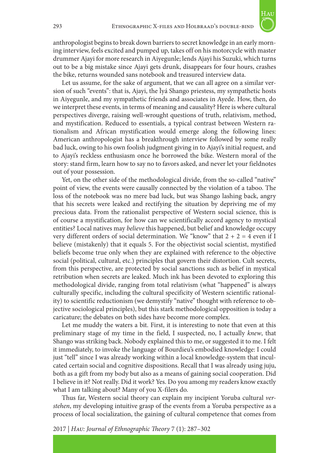anthropologist begins to break down barriers to secret knowledge in an early morning interview, feels excited and pumped up, takes off on his motorcycle with master drummer Ajayi for more research in Aiyegunle; lends Ajayi his Suzuki, which turns out to be a big mistake since Ajayi gets drunk, disappears for four hours, crashes the bike, returns wounded sans notebook and treasured interview data.

Let us assume, for the sake of argument, that we can all agree on a similar version of such "events": that is, Ajayi, the Ìyá Shango priestess, my sympathetic hosts in Aiyegunle, and my sympathetic friends and associates in Ayede. How, then, do we interpret these events, in terms of meaning and causality? Here is where cultural perspectives diverge, raising well-wrought questions of truth, relativism, method, and mystification. Reduced to essentials, a typical contrast between Western rationalism and African mystification would emerge along the following lines: American anthropologist has a breakthrough interview followed by some really bad luck, owing to his own foolish judgment giving in to Ajayi's initial request, and to Ajayi's reckless enthusiasm once he borrowed the bike. Western moral of the story: stand firm, learn how to say no to favors asked, and never let your fieldnotes out of your possession.

Yet, on the other side of the methodological divide, from the so-called "native" point of view, the events were causally connected by the violation of a taboo. The loss of the notebook was no mere bad luck, but was Shango lashing back, angry that his secrets were leaked and rectifying the situation by depriving me of my precious data. From the rationalist perspective of Western social science, this is of course a mystification, for how can we scientifically accord agency to mystical entities? Local natives may *believe* this happened, but belief and knowledge occupy very different orders of social determination. We "know" that  $2 + 2 = 4$  even if I believe (mistakenly) that it equals 5. For the objectivist social scientist, mystified beliefs become true only when they are explained with reference to the objective social (political, cultural, etc.) principles that govern their distortion. Cult secrets, from this perspective, are protected by social sanctions such as belief in mystical retribution when secrets are leaked. Much ink has been devoted to exploring this methodological divide, ranging from total relativism (what "happened" is always culturally specific, including the cultural specificity of Western scientific rationality) to scientific reductionism (we demystify "native" thought with reference to objective sociological principles), but this stark methodological opposition is today a caricature; the debates on both sides have become more complex.

Let me muddy the waters a bit. First, it is interesting to note that even at this preliminary stage of my time in the field, I suspected, no, I actually *knew*, that Shango was striking back. Nobody explained this to me, or suggested it to me. I felt it immediately, to invoke the language of Bourdieu's embodied knowledge: I could just "tell" since I was already working within a local knowledge-system that inculcated certain social and cognitive dispositions. Recall that I was already using juju, both as a gift from my body but also as a means of gaining social cooperation. Did I believe in it? Not really. Did it work? Yes. Do you among my readers know exactly what I am talking about? Many of you X-filers do.

Thus far, Western social theory can explain my incipient Yoruba cultural *verstehen*, my developing intuitive grasp of the events from a Yoruba perspective as a process of local socialization, the gaining of cultural competence that comes from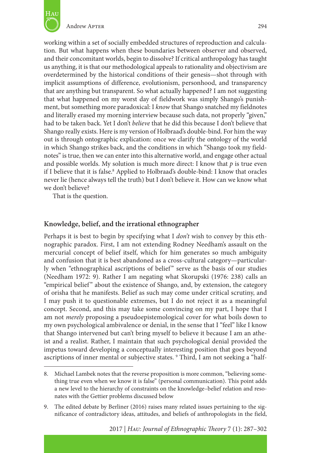

working within a set of socially embedded structures of reproduction and calculation. But what happens when these boundaries between observer and observed, and their concomitant worlds, begin to dissolve? If critical anthropology has taught us anything, it is that our methodological appeals to rationality and objectivism are overdetermined by the historical conditions of their genesis—shot through with implicit assumptions of difference, evolutionism, personhood, and transparency that are anything but transparent. So what actually happened? I am not suggesting that what happened on my worst day of fieldwork was simply Shango's punishment, but something more paradoxical: I *know* that Shango snatched my fieldnotes and literally erased my morning interview because such data, not properly "given," had to be taken back. Yet I don't *believe* that he did this because I don't believe that Shango really exists. Here is my version of Holbraad's double-bind. For him the way out is through ontographic explication: once we clarify the ontology of the world in which Shango strikes back, and the conditions in which "Shango took my fieldnotes" is true, then we can enter into this alternative world, and engage other actual and possible worlds. My solution is much more direct: I know that *p* is true even if I believe that it is false.<sup>8</sup> Applied to Holbraad's double-bind: I know that oracles never lie (hence always tell the truth) but I don't believe it. How can we know what we don't believe?

That is the question.

## **Knowledge, belief, and the irrational ethnographer**

Perhaps it is best to begin by specifying what I *don't* wish to convey by this ethnographic paradox. First, I am not extending Rodney Needham's assault on the mercurial concept of belief itself, which for him generates so much ambiguity and confusion that it is best abandoned as a cross-cultural category—particularly when "ethnographical ascriptions of belief " serve as the basis of our studies (Needham 1972: 9). Rather I am negating what Skorupski (1976: 238) calls an "empirical belief " about the existence of Shango, and, by extension, the category of orisha that he manifests. Belief as such may come under critical scrutiny, and I may push it to questionable extremes, but I do not reject it as a meaningful concept. Second, and this may take some convincing on my part, I hope that I am not *merely* proposing a pseudoepistemological cover for what boils down to my own psychological ambivalence or denial, in the sense that I "feel" like I know that Shango intervened but can't bring myself to believe it because I am an atheist and a realist. Rather, I maintain that such psychological denial provided the impetus toward developing a conceptually interesting position that goes beyond ascriptions of inner mental or subjective states. <sup>9</sup> Third, I am not seeking a "half-

<sup>8.</sup> Michael Lambek notes that the reverse proposition is more common, "believing something true even when we know it is false" (personal communication). This point adds a new level to the hierarchy of constraints on the knowledge–belief relation and resonates with the Gettier problems discussed below

<sup>9.</sup> The edited debate by Berliner (2016) raises many related issues pertaining to the significance of contradictory ideas, attitudes, and beliefs of anthropologists in the field,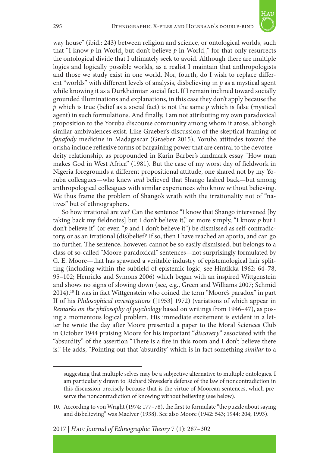

way house" (ibid.: 243) between religion and science, or ontological worlds, such that "I know  $p$  in World<sub>2</sub> but don't believe  $p$  in World<sub>1</sub>," for that only resurrects the ontological divide that I ultimately seek to avoid. Although there are multiple logics and logically possible worlds, as a realist I maintain that anthropologists and those we study exist in one world. Nor, fourth, do I wish to replace different "worlds" with different levels of analysis, disbelieving in *p* as a mystical agent while knowing it as a Durkheimian social fact. If I remain inclined toward socially grounded illuminations and explanations, in this case they don't apply because the *p* which is true (belief as a social fact) is not the same *p* which is false (mystical agent) in such formulations. And finally, I am not attributing my own paradoxical proposition to the Yoruba discourse community among whom it arose, although similar ambivalences exist. Like Graeber's discussion of the skeptical framing of *fanafody* medicine in Madagascar (Graeber 2015), Yoruba attitudes toward the orisha include reflexive forms of bargaining power that are central to the devotee– deity relationship, as propounded in Karin Barber's landmark essay "How man makes God in West Africa" (1981). But the case of my worst day of fieldwork in Nigeria foregrounds a different propositional attitude, one shared not by my Yoruba colleagues—who knew *and* believed that Shango lashed back—but among anthropological colleagues with similar experiences who know without believing. We thus frame the problem of Shango's wrath with the irrationality not of "natives" but of ethnographers.

So how irrational are we? Can the sentence "I know that Shango intervened [by taking back my fieldnotes] but I don't believe it," or more simply, "I know *p* but I don't believe it" (or even "*p* and I don't believe it") be dismissed as self-contradictory, or as an irrational (dis)belief? If so, then I have reached an aporia, and can go no further. The sentence, however, cannot be so easily dismissed, but belongs to a class of so-called "Moore-paradoxical" sentences—not surprisingly formulated by G. E. Moore—that has spawned a veritable industry of epistemological hair splitting (including within the subfield of epistemic logic, see Hintikka 1962: 64–78, 95–102; Henricks and Symons 2006) which began with an inspired Wittgenstein and shows no signs of slowing down (see, e.g., Green and Williams 2007; Schmid 2014).10 It was in fact Wittgenstein who coined the term "Moore's paradox" in part II of his *Philosophical investigations* ([1953] 1972) (variations of which appear in *Remarks on the philosophy of psychology* based on writings from 1946–47), as posing a momentous logical problem. His immediate excitement is evident in a letter he wrote the day after Moore presented a paper to the Moral Sciences Club in October 1944 praising Moore for his important "*discovery*" associated with the "absurdity" of the assertion "There is a fire in this room and I don't believe there is." He adds, "Pointing out that 'absurdity' which is in fact something *similar* to a

suggesting that multiple selves may be a subjective alternative to multiple ontologies. I am particularly drawn to Richard Shweder's defense of the law of noncontradiction in this discussion precisely because that is the virtue of Moorean sentences, which preserve the noncontradiction of knowing without believing (see below).

<sup>10.</sup> According to von Wright (1974: 177–78), the first to formulate "the puzzle about saying and disbelieving" was MacIver (1938). See also Moore (1942: 543; 1944: 204; 1993).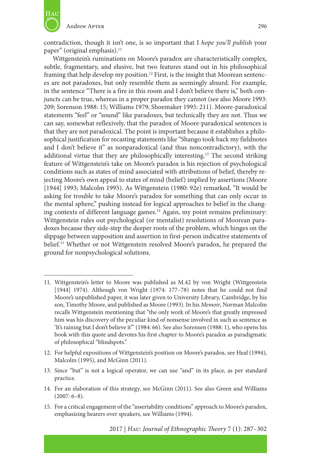

contradiction, though it isn't one, is so important that I *hope you'll publish* your paper" (original emphasis).<sup>11</sup>

Wittgenstein's ruminations on Moore's paradox are characteristically complex, subtle, fragmentary, and elusive, but two features stand out in his philosophical framing that help develop my position.<sup>12</sup> First, is the insight that Moorean sentences are not paradoxes, but only resemble them as seemingly absurd. For example, in the sentence "There is a fire in this room and I don't believe there is," both conjuncts can be true, whereas in a proper paradox they cannot (see also Moore 1993: 209; Sorenson 1988: 15; Williams 1979; Shoemaker 1995: 211). Moore-paradoxical statements "feel" or "sound" like paradoxes, but technically they are not. Thus we can say, somewhat reflexively, that the paradox of Moore-paradoxical sentences is that they are not paradoxical. The point is important because it establishes a philosophical justification for recasting statements like "Shango took back my fieldnotes and I don't believe it" as nonparadoxical (and thus noncontradictory), with the additional virtue that they are philosophically interesting.13 The second striking feature of Wittgenstein's take on Moore's paradox is his rejection of psychological conditions such as states of mind associated with attributions of belief, thereby rejecting Moore's own appeal to states of mind (belief) implied by assertions (Moore [1944] 1993; Malcolm 1995). As Wittgenstein (1980: 92e) remarked, "It would be asking for trouble to take Moore's paradox for something that can only occur in the mental sphere," pushing instead for logical approaches to belief in the changing contexts of different language games.<sup>14</sup> Again, my point remains preliminary: Wittgenstein rules out psychological (or mentalist) resolutions of Moorean paradoxes because they side-step the deeper roots of the problem, which hinges on the slippage between supposition and assertion in first-person indicative statements of belief.15 Whether or not Wittgenstein resolved Moore's paradox, he prepared the ground for nonpsychological solutions.

- 12. For helpful expositions of Wittgenstein's position on Moore's paradox, see Heal (1994), Malcolm (1995), and McGinn (2011).
- 13. Since "but" is not a logical operator, we can use "and" in its place, as per standard practice.
- 14. For an elaboration of this strategy, see McGinn (2011). See also Green and Williams  $(2007: 6-8).$
- 15. For a critical engagement of the "assertability conditions" approach to Moore's paradox, emphasizing hearers over speakers, see Williams (1994).

<sup>11.</sup> Wittgenstein's letter to Moore was published as M.42 by von Wright (Wittgenstein [1944] 1974). Although von Wright (1974: 177–78) notes that he could not find Moore's unpublished paper, it was later given to University Library, Cambridge, by his son, Timothy Moore, and published as Moore (1993). In his *Memoir*, Norman Malcolm recalls Wittgenstein mentioning that "the only work of Moore's that greatly impressed him was his discovery of the peculiar kind of nonsense involved in such as sentence as 'It's raining but I don't believe it'" (1984: 66). See also Sorensen (1988: 1), who opens his book with this quote and devotes his first chapter to Moore's paradox as paradigmatic of philosophical "blindspots."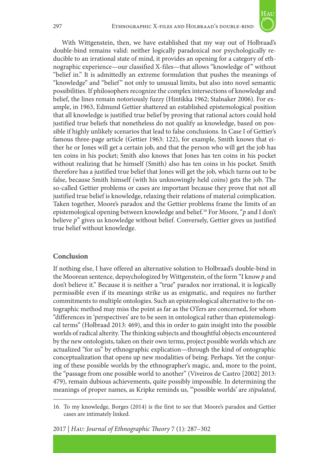

With Wittgenstein, then, we have established that my way out of Holbraad's double-bind remains valid: neither logically paradoxical nor psychologically reducible to an irrational state of mind, it provides an opening for a category of ethnographic experience—our classified X-files—that allows "knowledge of" without "belief in." It is admittedly an extreme formulation that pushes the meanings of "knowledge" and "belief " not only to unusual limits, but also into novel semantic possibilities. If philosophers recognize the complex intersections of knowledge and belief, the lines remain notoriously fuzzy (Hintikka 1962; Stalnaker 2006). For example, in 1963, Edmund Gettier shattered an established epistemological position that all knowledge is justified true belief by proving that rational actors could hold justified true beliefs that nonetheless do not qualify as knowledge, based on possible if highly unlikely scenarios that lead to false conclusions. In Case I of Gettier's famous three-page article (Gettier 1963: 122), for example, Smith knows that either he or Jones will get a certain job, and that the person who will get the job has ten coins in his pocket; Smith also knows that Jones has ten coins in his pocket without realizing that he himself (Smith) also has ten coins in his pocket. Smith therefore has a justified true belief that Jones will get the job, which turns out to be false, because Smith himself (with his unknowingly held coins) gets the job. The so-called Gettier problems or cases are important because they prove that not all justified true belief is knowledge, relaxing their relations of material coimplication. Taken together, Moore's paradox and the Gettier problems frame the limits of an epistemological opening between knowledge and belief.16 For Moore, "*p* and I don't believe *p*" gives us knowledge without belief. Conversely, Gettier gives us justified true belief without knowledge.

#### **Conclusion**

If nothing else, I have offered an alternative solution to Holbraad's double-bind in the Moorean sentence, depsychologized by Wittgenstein, of the form "I know *p* and don't believe it." Because it is neither a "true" paradox nor irrational, it is logically permissible even if its meanings strike us as enigmatic, and requires no further commitments to multiple ontologies. Such an epistemological alternative to the ontographic method may miss the point as far as the OTers are concerned, for whom "differences in 'perspectives' are to be seen in ontological rather than epistemological terms" (Holbraad 2013: 469), and this in order to gain insight into the possible worlds of radical alterity. The thinking subjects and thoughtful objects encountered by the new ontologists, taken on their own terms, project possible worlds which are actualized "for us" by ethnographic explication—through the kind of ontographic conceptualization that opens up new modalities of being. Perhaps. Yet the conjuring of these possible worlds by the ethnographer's magic, and, more to the point, the "passage from one possible world to another" (Viveiros de Castro [2002] 2013: 479), remain dubious achievements, quite possibly impossible. In determining the meanings of proper names, as Kripke reminds us, "'possible worlds' are *stipulated*,

<sup>16.</sup> To my knowledge, Borges (2014) is the first to see that Moore's paradox and Gettier cases are intimately linked.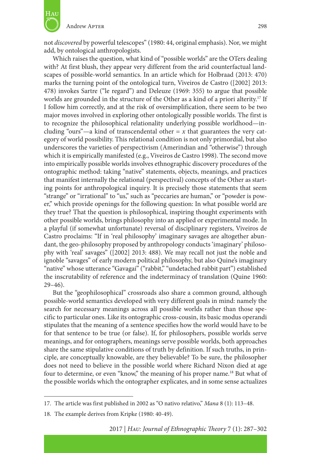

not *discovered* by powerful telescopes" (1980: 44, original emphasis). Nor, we might add, by ontological anthropologists.

Which raises the question, what kind of "possible worlds" are the OTers dealing with? At first blush, they appear very different from the arid counterfactual landscapes of possible-world semantics. In an article which for Holbraad (2013: 470) marks the turning point of the ontological turn, Viveiros de Castro ([2002] 2013: 478) invokes Sartre ("le regard") and Deleuze (1969: 355) to argue that possible worlds are grounded in the structure of the Other as a kind of a priori alterity.<sup>17</sup> If I follow him correctly, and at the risk of oversimplification, there seem to be two major moves involved in exploring other ontologically possible worlds. The first is to recognize the philosophical relationality underlying possible worldhood—including "ours"—a kind of transcendental other  $= x$  that guarantees the very category of world possibility. This relational condition is not only primordial, but also underscores the varieties of perspectivism (Amerindian and "otherwise") through which it is empirically manifested (e.g., Viveiros de Castro 1998). The second move into empirically possible worlds involves ethnographic discovery procedures of the ontographic method: taking "native" statements, objects, meanings, and practices that manifest internally the relational (perspectival) concepts of the Other as starting points for anthropological inquiry. It is precisely those statements that seem "strange" or "irrational" to "us," such as "peccaries are human," or "powder is power," which provide openings for the following question: In what possible world are they true? That the question is philosophical, inspiring thought experiments with other possible worlds, brings philosophy into an applied or experimental mode. In a playful (if somewhat unfortunate) reversal of disciplinary registers, Viveiros de Castro proclaims: "If in 'real philosophy' imaginary savages are altogether abundant, the geo-philosophy proposed by anthropology conducts 'imaginary' philosophy with 'real' savages" ([2002] 2013: 488). We may recall not just the noble and ignoble "savages" of early modern political philosophy, but also Quine's imaginary "native" whose utterance "Gavagai" ("rabbit," "undetached rabbit part") established the inscrutability of reference and the indeterminacy of translation (Quine 1960:  $29-46$ ).

But the "geophilosophical" crossroads also share a common ground, although possible-world semantics developed with very different goals in mind: namely the search for necessary meanings across all possible worlds rather than those specific to particular ones. Like its ontographic cross-cousin, its basic modus operandi stipulates that the meaning of a sentence specifies how the world would have to be for that sentence to be true (or false). If, for philosophers, possible worlds serve meanings, and for ontographers, meanings serve possible worlds, both approaches share the same stipulative conditions of truth by definition. If such truths, in principle, are conceptually knowable, are they believable? To be sure, the philosopher does not need to believe in the possible world where Richard Nixon died at age four to determine, or even "know," the meaning of his proper name.18 But what of the possible worlds which the ontographer explicates, and in some sense actualizes

<sup>17.</sup> The article was first published in 2002 as "O nativo relativo," *Mana* 8 (1): 113–48.

<sup>18.</sup> The example derives from Kripke (1980: 40-49).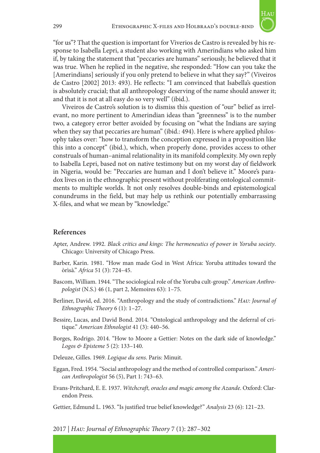

"for us"? That the question is important for Viverios de Castro is revealed by his response to Isabella Lepri, a student also working with Amerindians who asked him if, by taking the statement that "peccaries are humans" seriously, he believed that it was true. When he replied in the negative, she responded: "How can you take the [Amerindians] seriously if you only pretend to believe in what they say?" (Viveiros de Castro [2002] 2013: 493). He reflects: "I am convinced that Isabella's question is absolutely crucial; that all anthropology deserving of the name should answer it; and that it is not at all easy do so very well" (ibid.).

Viveiros de Castro's solution is to dismiss this question of "our" belief as irrelevant, no more pertinent to Amerindian ideas than "greenness" is to the number two, a category error better avoided by focusing on "what the Indians are saying when they say that peccaries are human" (ibid.: 494). Here is where applied philosophy takes over: "how to transform the conception expressed in a proposition like this into a concept" (ibid.), which, when properly done, provides access to other construals of human–animal relationality in its manifold complexity. My own reply to Isabella Lepri, based not on native testimony but on my worst day of fieldwork in Nigeria, would be: "Peccaries are human and I don't believe it." Moore's paradox lives on in the ethnographic present without proliferating ontological commitments to multiple worlds. It not only resolves double-binds and epistemological conundrums in the field, but may help us rethink our potentially embarrassing X-files, and what we mean by "knowledge."

#### **References**

- Apter, Andrew. 1992*. Black critics and kings: The hermeneutics of power in Yoruba society*. Chicago: University of Chicago Press.
- Barber, Karin. 1981. "How man made God in West Africa: Yoruba attitudes toward the òrìsà." *Africa* 51 (3): 724–45.
- Bascom, William. 1944. "The sociological role of the Yoruba cult-group." *American Anthropologist* (N.S.) 46 (1, part 2, Memoires 63): 1–75.
- Berliner, David, ed. 2016. "Anthropology and the study of contradictions." *Hau: Journal of Ethnographic Theory* 6 (1): 1–27.
- Bessire, Lucas, and David Bond. 2014. "Ontological anthropology and the deferral of critique." *American Ethnologist* 41 (3): 440–56.
- Borges, Rodrigo. 2014. "How to Moore a Gettier: Notes on the dark side of knowledge." *Logos & Episteme* 5 (2): 133–140.
- Deleuze, Gilles. 1969. *Logique du sens*. Paris: Minuit.
- Eggan, Fred. 1954. "Social anthropology and the method of controlled comparison." *American Anthropologist* 56 (5), Part 1: 743–63.
- Evans-Pritchard, E. E. 1937. *Witchcraft, oracles and magic among the Azande*. Oxford: Clarendon Press.
- Gettier, Edmund L. 1963. "Is justified true belief knowledge?" *Analysis* 23 (6): 121–23.

2017 | *Hau: Journal of Ethnographic Theory* 7 (1): 287–302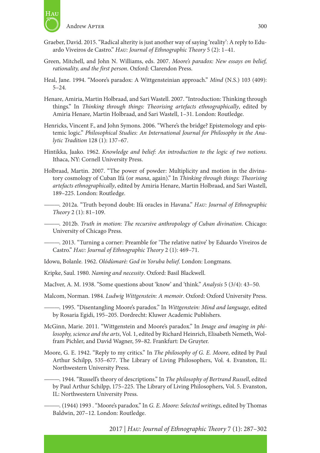- Graeber, David. 2015. "Radical alterity is just another way of saying 'reality': A reply to Eduardo Viveiros de Castro." *Hau: Journal of Ethnographic Theory* 5 (2): 1–41.
- Green, Mitchell, and John N. Williams, eds. 2007. *Moore's paradox: New essays on belief, rationality, and the first person*. Oxford: Clarendon Press.
- Heal, Jane. 1994. "Moore's paradox: A Wittgensteinian approach." *Mind* (N.S.) 103 (409): 5–24.
- Henare, Amiria, Martin Holbraad, and Sari Wastell. 2007. "Introduction: Thinking through things." In *Thinking through things: Theorising artefacts ethnographically*, edited by Amiria Henare, Martin Holbraad, and Sari Wastell, 1–31. London: Routledge.
- Henricks, Vincent F., and John Symons. 2006. "Where's the bridge? Epistemology and epistemic logic." *Philosophical Studies: An International Journal for Philosophy in the Analytic Tradition* 128 (1): 137–67.
- Hintikka, Jaako. 1962. *Knowledge and belief: An introduction to the logic of two notions*. Ithaca, NY: Cornell University Press.
- Holbraad, Martin. 2007. "The power of powder: Multiplicity and motion in the divinatory cosmology of Cuban Ifá (or *mana*, again)." In *Thinking through things: Theorising artefacts ethnographically*, edited by Amiria Henare, Martin Holbraad, and Sari Wastell, 189–225. London: Routledge.
- ———. 2012a. "Truth beyond doubt: Ifá oracles in Havana." *Hau: Journal of Ethnographic Theory* 2 (1): 81–109.

———. 2012b. *Truth in motion: The recursive anthropology of Cuban divination*. Chicago: University of Chicago Press.

———. 2013. "Turning a corner: Preamble for 'The relative native' by Eduardo Viveiros de Castro." *Hau: Journal of Ethnographic Theory* 2 (1): 469–71.

Idowu, Bolanle. 1962. *Olódùmarè: God in Yoruba belief*. London: Longmans.

Kripke, Saul. 1980. *Naming and necessity*. Oxford: Basil Blackwell.

MacIver, A. M. 1938. "Some questions about 'know' and 'think." *Analysis* 5 (3/4): 43–50.

Malcom, Norman. 1984. *Ludwig Wittgenstein: A memoir*. Oxford: Oxford University Press.

———. 1995. "Disentangling Moore's paradox." In *Wittgenstein: Mind and language*, edited by Rosaria Egidi, 195–205. Dordrecht: Kluwer Academic Publishers.

- McGinn, Marie. 2011. "Wittgenstein and Moore's paradox." In *Image and imaging in philosophy, science and the arts*, Vol. 1, edited by Richard Heinrich, Elisabeth Nemeth, Wolfram Pichler, and David Wagner, 59–82. Frankfurt: De Gruyter.
- Moore, G. E. 1942. "Reply to my critics." In *The philosophy of G. E. Moore*, edited by Paul Arthur Schilpp, 535–677. The Library of Living Philosophers, Vol. 4. Evanston, IL: Northwestern University Press.
- ———. 1944. "Russell's theory of descriptions." In *The philosophy of Bertrand Russell*, edited by Paul Arthur Schilpp, 175–225. The Library of Living Philosophers, Vol. 5. Evanston, IL: Northwestern University Press.
- ———. (1944) 1993 . "Moore's paradox." In *G. E. Moore: Selected writings*, edited by Thomas Baldwin, 207–12. London: Routledge.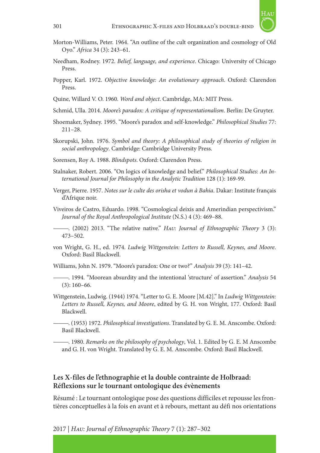

- Morton-Williams, Peter. 1964. "An outline of the cult organization and cosmology of Old Oyo." *Africa* 34 (3): 243–61.
- Needham, Rodney. 1972. *Belief, language, and experience*. Chicago: University of Chicago Press.
- Popper, Karl. 1972. *Objective knowledge: An evolutionary approach*. Oxford: Clarendon Press.
- Quine, Willard V. O. 1960. *Word and object*. Cambridge, MA: MIT Press.
- Schmid, Ulla. 2014. *Moore's paradox: A critique of representationalism*. Berlin: De Gruyter.
- Shoemaker, Sydney. 1995. "Moore's paradox and self-knowledge." *Philosophical Studies* 77: 211–28.
- Skorupski, John. 1976. *Symbol and theory: A philosophical study of theories of religion in social anthropology*. Cambridge: Cambridge University Press.
- Sorensen, Roy A. 1988. *Blindspots*. Oxford: Clarendon Press.
- Stalnaker, Robert. 2006. "On logics of knowledge and belief." *Philosophical Studies: An International Journal for Philosophy in the Analytic Tradition* 128 (1): 169-99.
- Verger, Pierre. 1957. *Notes sur le culte des orisha et vodun à Bahia*. Dakar: Institute français d'Afrique noir.
- Viveiros de Castro, Eduardo. 1998. "Cosmological deixis and Amerindian perspectivism." *Journal of the Royal Anthropological Institute* (N.S.) 4 (3): 469–88.

———. (2002) 2013. "The relative native." *Hau: Journal of Ethnographic Theory* 3 (3): 473–502.

von Wright, G. H., ed. 1974. *Ludwig Wittgenstein: Letters to Russell, Keynes, and Moore*. Oxford: Basil Blackwell.

Williams, John N. 1979. "Moore's paradox: One or two?" *Analysis* 39 (3): 141–42.

- ———. 1994. "Moorean absurdity and the intentional 'structure' of assertion." *Analysis* 54 (3): 160–66.
- Wittgenstein, Ludwig. (1944) 1974. "Letter to G. E. Moore [M.42]." In *Ludwig Wittgenstein: Letters to Russell, Keynes, and Moore*, edited by G. H. von Wright, 177. Oxford: Basil Blackwell.

———. (1953) 1972. *Philosophical investigations*. Translated by G. E. M. Anscombe. Oxford: Basil Blackwell.

———. 1980. *Remarks on the philosophy of psychology*, Vol. 1. Edited by G. E. M Anscombe and G. H. von Wright. Translated by G. E. M. Anscombe. Oxford: Basil Blackwell.

## **Les X-files de l'ethnographie et la double contrainte de Holbraad: Réflexions sur le tournant ontologique des évènements**

Résumé : Le tournant ontologique pose des questions difficiles et repousse les frontières conceptuelles à la fois en avant et à rebours, mettant au défi nos orientations